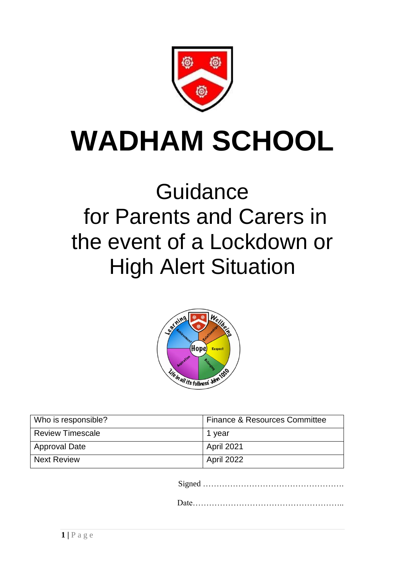

# **WADHAM SCHOOL**

# **Guidance** for Parents and Carers in the event of a Lockdown or High Alert Situation



| Who is responsible?     | Finance & Resources Committee |
|-------------------------|-------------------------------|
| <b>Review Timescale</b> | 1 year                        |
| Approval Date           | April 2021                    |
| Next Review             | April 2022                    |

Signed …………………………………………….

Date………………………………………………..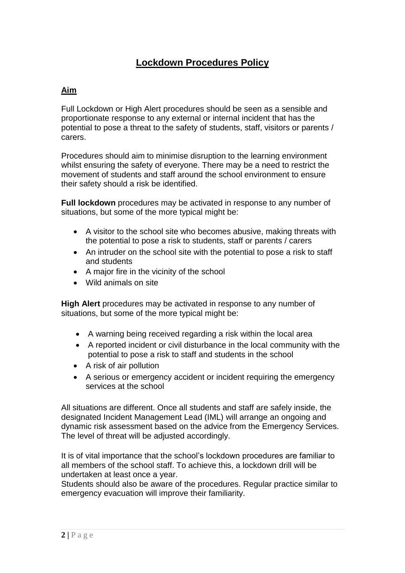## **Lockdown Procedures Policy**

### **Aim**

Full Lockdown or High Alert procedures should be seen as a sensible and proportionate response to any external or internal incident that has the potential to pose a threat to the safety of students, staff, visitors or parents / carers.

Procedures should aim to minimise disruption to the learning environment whilst ensuring the safety of everyone. There may be a need to restrict the movement of students and staff around the school environment to ensure their safety should a risk be identified.

**Full lockdown** procedures may be activated in response to any number of situations, but some of the more typical might be:

- A visitor to the school site who becomes abusive, making threats with the potential to pose a risk to students, staff or parents / carers
- An intruder on the school site with the potential to pose a risk to staff and students
- A major fire in the vicinity of the school
- Wild animals on site

**High Alert** procedures may be activated in response to any number of situations, but some of the more typical might be:

- A warning being received regarding a risk within the local area
- A reported incident or civil disturbance in the local community with the potential to pose a risk to staff and students in the school
- A risk of air pollution
- A serious or emergency accident or incident requiring the emergency services at the school

All situations are different. Once all students and staff are safely inside, the designated Incident Management Lead (IML) will arrange an ongoing and dynamic risk assessment based on the advice from the Emergency Services. The level of threat will be adjusted accordingly.

It is of vital importance that the school's lockdown procedures are familiar to all members of the school staff. To achieve this, a lockdown drill will be undertaken at least once a year.

Students should also be aware of the procedures. Regular practice similar to emergency evacuation will improve their familiarity.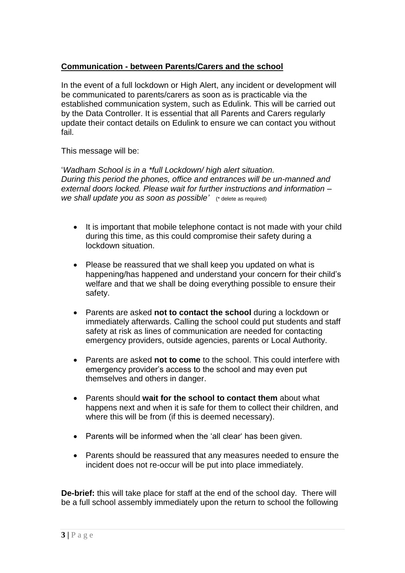### **Communication - between Parents/Carers and the school**

In the event of a full lockdown or High Alert, any incident or development will be communicated to parents/carers as soon as is practicable via the established communication system, such as Edulink. This will be carried out by the Data Controller. It is essential that all Parents and Carers regularly update their contact details on Edulink to ensure we can contact you without fail.

This message will be:

'*Wadham School is in a \*full Lockdown/ high alert situation. During this period the phones, office and entrances will be un-manned and external doors locked. Please wait for further instructions and information* – *we shall update you as soon as possible'* (\* delete as required)

- It is important that mobile telephone contact is not made with your child during this time, as this could compromise their safety during a lockdown situation.
- Please be reassured that we shall keep you updated on what is happening/has happened and understand your concern for their child's welfare and that we shall be doing everything possible to ensure their safety.
- Parents are asked **not to contact the school** during a lockdown or immediately afterwards. Calling the school could put students and staff safety at risk as lines of communication are needed for contacting emergency providers, outside agencies, parents or Local Authority.
- Parents are asked **not to come** to the school. This could interfere with emergency provider's access to the school and may even put themselves and others in danger.
- Parents should **wait for the school to contact them** about what happens next and when it is safe for them to collect their children, and where this will be from (if this is deemed necessary).
- Parents will be informed when the 'all clear' has been given.
- Parents should be reassured that any measures needed to ensure the incident does not re-occur will be put into place immediately.

**De-brief:** this will take place for staff at the end of the school day. There will be a full school assembly immediately upon the return to school the following